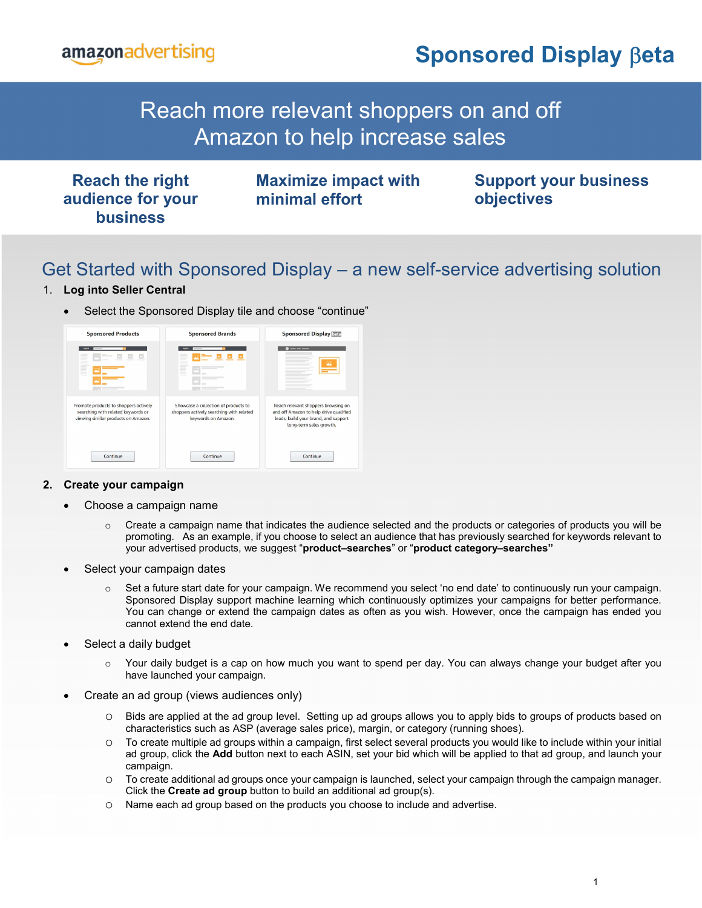

## Reach shoppers who visited your detail pages but didn't make a purchase by showing  $\sim$ them ads as they browse off Amazon. Reach more relevant shoppers on and off

| <b>Reach the right</b><br>audience for your<br><b>business</b> | <b>Maximize impact with</b><br>minimal effort | <b>Support your business</b><br>objectives |
|----------------------------------------------------------------|-----------------------------------------------|--------------------------------------------|
|                                                                |                                               |                                            |

## Get Started with Sponsored Display – a new self-service advertising solution

## 1. Log into Seller Central

Select the Sponsored Display tile and choose "continue"



### 2. Create your campaign

- Choose a campaign name
	- $\circ$  Create a campaign name that indicates the audience selected and the products or categories of products you will be promoting. As an example, if you choose to select an audience that has previously searched for keywords relevant to your advertised products, we suggest "product-searches" or "product category-searches"
- Select your campaign dates
	- $\circ$  Set a future start date for your campaign. We recommend you select 'no end date' to continuously run your campaign. Sponsored Display support machine learning which continuously optimizes your campaigns for better performance. You can change or extend the campaign dates as often as you wish. However, once the campaign has ended you cannot extend the end date.
- Select a daily budget
	- o Your daily budget is a cap on how much you want to spend per day. You can always change your budget after you have launched your campaign.
- Create an ad group (views audiences only)
	- o Bids are applied at the ad group level. Setting up ad groups allows you to apply bids to groups of products based on characteristics such as ASP (average sales price), margin, or category (running shoes).
	- o To create multiple ad groups within a campaign, first select several products you would like to include within your initial ad group, click the Add button next to each ASIN, set your bid which will be applied to that ad group, and launch your campaign.
	- o To create additional ad groups once your campaign is launched, select your campaign through the campaign manager. Click the Create ad group button to build an additional ad group(s).
	- o Name each ad group based on the products you choose to include and advertise.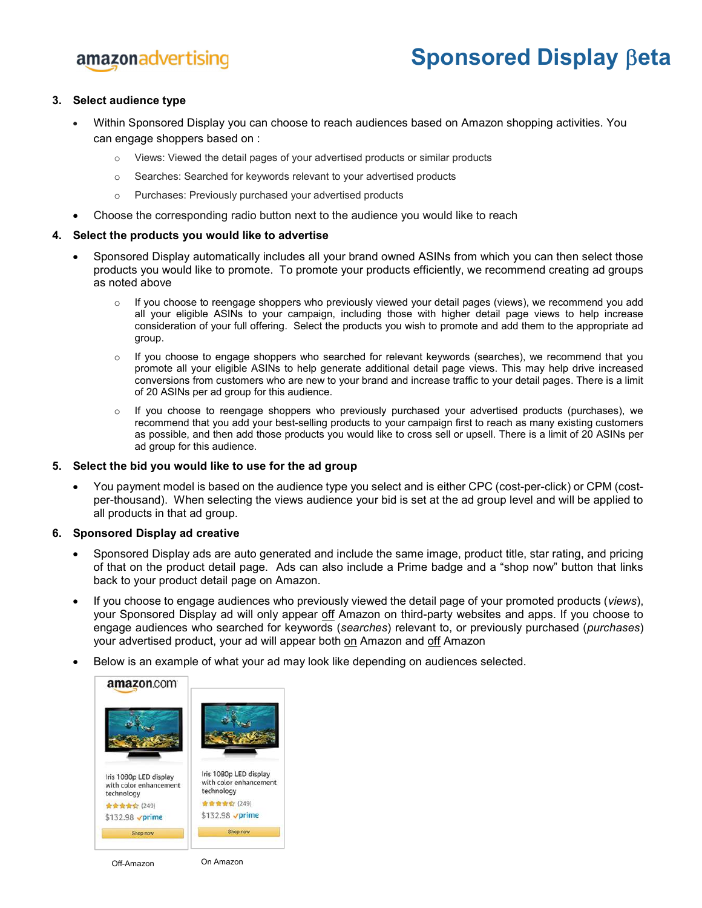# amazonadvertising

# Sponsored Display  $\beta$ eta

### 3. Select audience type

- Within Sponsored Display you can choose to reach audiences based on Amazon shopping activities. You can engage shoppers based on :
	- o Views: Viewed the detail pages of your advertised products or similar products
	- o Searches: Searched for keywords relevant to your advertised products
	- o Purchases: Previously purchased your advertised products
- Choose the corresponding radio button next to the audience you would like to reach

### 4. Select the products you would like to advertise

- Sponsored Display automatically includes all your brand owned ASINs from which you can then select those products you would like to promote. To promote your products efficiently, we recommend creating ad groups as noted above
	- o If you choose to reengage shoppers who previously viewed your detail pages (views), we recommend you add all your eligible ASINs to your campaign, including those with higher detail page views to help increase consideration of your full offering. Select the products you wish to promote and add them to the appropriate ad group.
	- $\circ$  If you choose to engage shoppers who searched for relevant keywords (searches), we recommend that you promote all your eligible ASINs to help generate additional detail page views. This may help drive increased conversions from customers who are new to your brand and increase traffic to your detail pages. There is a limit of 20 ASINs per ad group for this audience.
	- $\circ$  If you choose to reengage shoppers who previously purchased your advertised products (purchases), we recommend that you add your best-selling products to your campaign first to reach as many existing customers as possible, and then add those products you would like to cross sell or upsell. There is a limit of 20 ASINs per ad group for this audience.

#### 5. Select the bid you would like to use for the ad group

 You payment model is based on the audience type you select and is either CPC (cost-per-click) or CPM (costper-thousand). When selecting the views audience your bid is set at the ad group level and will be applied to all products in that ad group.

#### 6. Sponsored Display ad creative

- Sponsored Display ads are auto generated and include the same image, product title, star rating, and pricing of that on the product detail page. Ads can also include a Prime badge and a "shop now" button that links back to your product detail page on Amazon.
- If you choose to engage audiences who previously viewed the detail page of your promoted products (views), your Sponsored Display ad will only appear off Amazon on third-party websites and apps. If you choose to engage audiences who searched for keywords (searches) relevant to, or previously purchased (purchases) your advertised product, your ad will appear both on Amazon and off Amazon
- Below is an example of what your ad may look like depending on audiences selected.

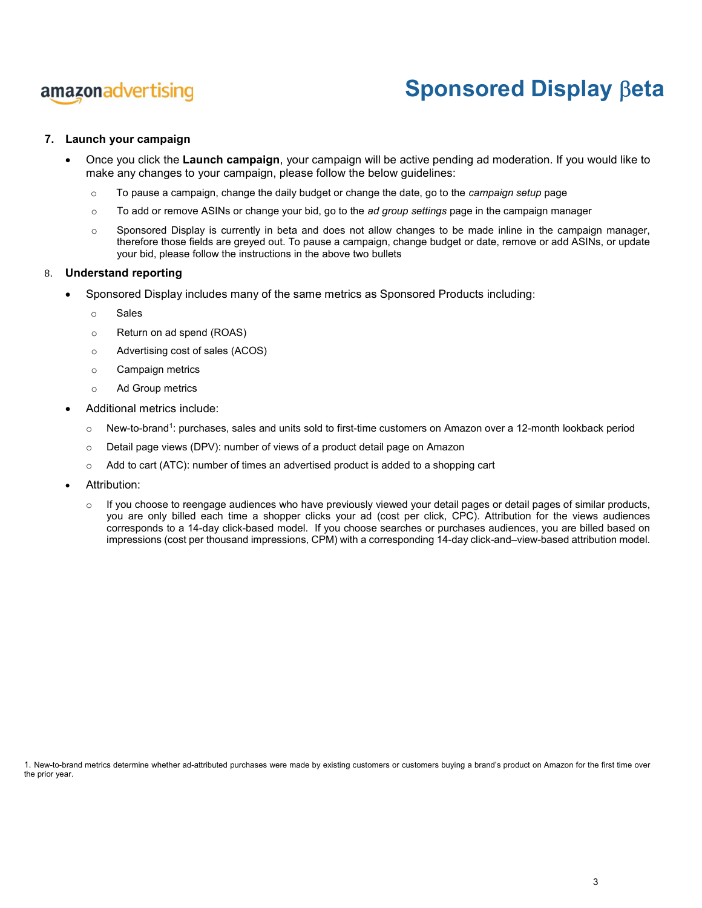# amazonadvertising

# Sponsored Display **Beta**

### 7. Launch your campaign

- Once you click the Launch campaign, your campaign will be active pending ad moderation. If you would like to make any changes to your campaign, please follow the below guidelines:
	- $\circ$  To pause a campaign, change the daily budget or change the date, go to the *campaign setup* page
	- $\circ$  To add or remove ASINs or change your bid, go to the *ad group settings* page in the campaign manager
	- $\circ$  Sponsored Display is currently in beta and does not allow changes to be made inline in the campaign manager, therefore those fields are greyed out. To pause a campaign, change budget or date, remove or add ASINs, or update your bid, please follow the instructions in the above two bullets

#### 8. Understand reporting

- Sponsored Display includes many of the same metrics as Sponsored Products including:
	- o Sales
	- o Return on ad spend (ROAS)
	- o Advertising cost of sales (ACOS)
	- o Campaign metrics
	- o Ad Group metrics
- Additional metrics include:
	- $\circ$  New-to-brand<sup>1</sup>: purchases, sales and units sold to first-time customers on Amazon over a 12-month lookback period
	- o Detail page views (DPV): number of views of a product detail page on Amazon
	- $\circ$  Add to cart (ATC): number of times an advertised product is added to a shopping cart
- Attribution:
	- $\circ$  If you choose to reengage audiences who have previously viewed your detail pages or detail pages of similar products, you are only billed each time a shopper clicks your ad (cost per click, CPC). Attribution for the views audiences corresponds to a 14-day click-based model. If you choose searches or purchases audiences, you are billed based on impressions (cost per thousand impressions, CPM) with a corresponding 14-day click-and–view-based attribution model.

1. New-to-brand metrics determine whether ad-attributed purchases were made by existing customers or customers buying a brand's product on Amazon for the first time over the prior year.